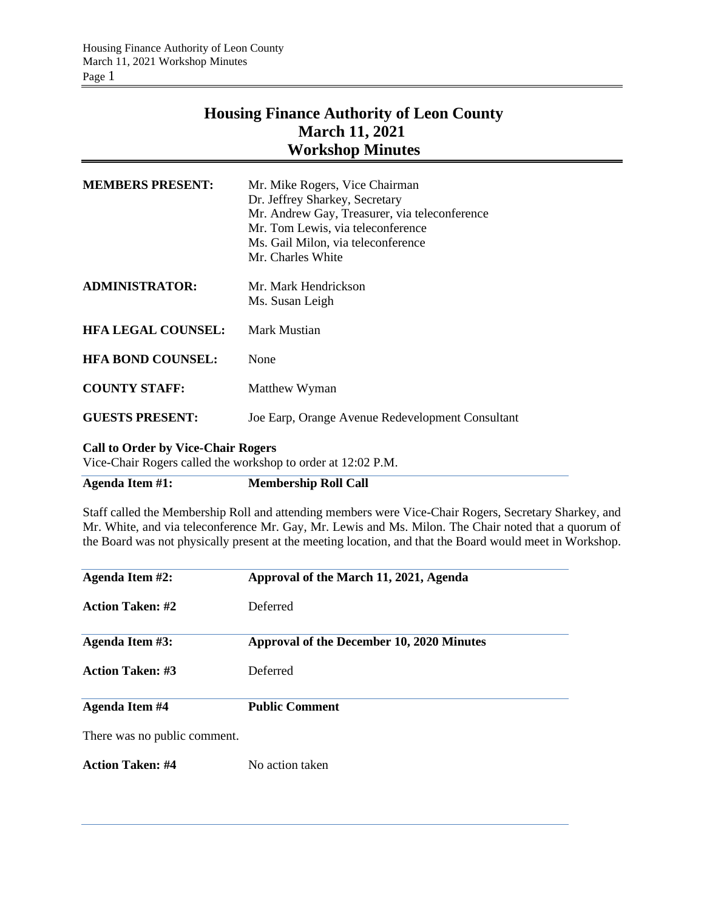## **Housing Finance Authority of Leon County March 11, 2021 Workshop Minutes**

| <b>MEMBERS PRESENT:</b>   | Mr. Mike Rogers, Vice Chairman                   |
|---------------------------|--------------------------------------------------|
|                           | Dr. Jeffrey Sharkey, Secretary                   |
|                           | Mr. Andrew Gay, Treasurer, via teleconference    |
|                           | Mr. Tom Lewis, via teleconference                |
|                           | Ms. Gail Milon, via teleconference               |
|                           | Mr. Charles White                                |
|                           |                                                  |
| <b>ADMINISTRATOR:</b>     | Mr. Mark Hendrickson                             |
|                           | Ms. Susan Leigh                                  |
| <b>HFA LEGAL COUNSEL:</b> | Mark Mustian                                     |
|                           |                                                  |
| <b>HFA BOND COUNSEL:</b>  | None                                             |
|                           |                                                  |
| <b>COUNTY STAFF:</b>      | Matthew Wyman                                    |
| <b>GUESTS PRESENT:</b>    | Joe Earp, Orange Avenue Redevelopment Consultant |
|                           |                                                  |

## **Call to Order by Vice-Chair Rogers**

Vice-Chair Rogers called the workshop to order at 12:02 P.M.

**Agenda Item #1: Membership Roll Call**

Staff called the Membership Roll and attending members were Vice-Chair Rogers, Secretary Sharkey, and Mr. White, and via teleconference Mr. Gay, Mr. Lewis and Ms. Milon. The Chair noted that a quorum of the Board was not physically present at the meeting location, and that the Board would meet in Workshop.

| Agenda Item #2:              | Approval of the March 11, 2021, Agenda    |
|------------------------------|-------------------------------------------|
| <b>Action Taken: #2</b>      | Deferred                                  |
| Agenda Item #3:              | Approval of the December 10, 2020 Minutes |
| <b>Action Taken: #3</b>      | Deferred                                  |
| Agenda Item #4               | <b>Public Comment</b>                     |
| There was no public comment. |                                           |
| <b>Action Taken: #4</b>      | No action taken                           |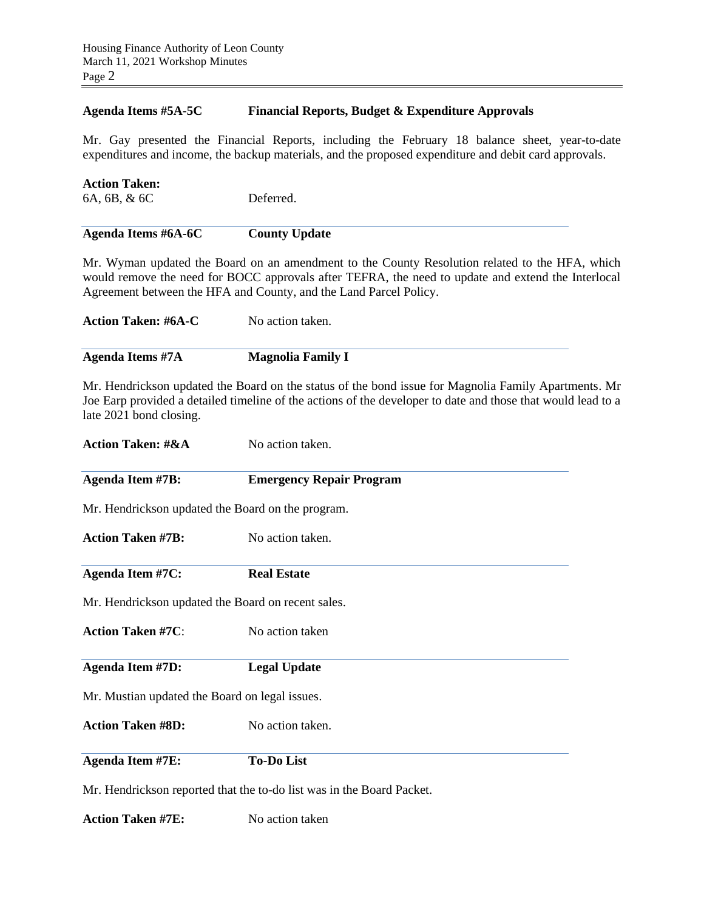## **Agenda Items #5A-5C Financial Reports, Budget & Expenditure Approvals**

Mr. Gay presented the Financial Reports, including the February 18 balance sheet, year-to-date expenditures and income, the backup materials, and the proposed expenditure and debit card approvals.

| Agenda Items #6A-6C  | <b>County Update</b> |
|----------------------|----------------------|
| 6A, 6B, & 6C         | Deferred.            |
| <b>Action Taken:</b> |                      |

Mr. Wyman updated the Board on an amendment to the County Resolution related to the HFA, which would remove the need for BOCC approvals after TEFRA, the need to update and extend the Interlocal Agreement between the HFA and County, and the Land Parcel Policy.

| <b>Action Taken: #6A-C</b> | No action taken.         |
|----------------------------|--------------------------|
| Agenda Items #7A           | <b>Magnolia Family I</b> |

Mr. Hendrickson updated the Board on the status of the bond issue for Magnolia Family Apartments. Mr Joe Earp provided a detailed timeline of the actions of the developer to date and those that would lead to a late 2021 bond closing.

| <b>Action Taken: #&amp;A</b>                       | No action taken.                                                      |
|----------------------------------------------------|-----------------------------------------------------------------------|
| <b>Agenda Item #7B:</b>                            | <b>Emergency Repair Program</b>                                       |
| Mr. Hendrickson updated the Board on the program.  |                                                                       |
| <b>Action Taken #7B:</b>                           | No action taken.                                                      |
| <b>Agenda Item #7C:</b>                            | <b>Real Estate</b>                                                    |
| Mr. Hendrickson updated the Board on recent sales. |                                                                       |
| <b>Action Taken #7C:</b>                           | No action taken                                                       |
| <b>Agenda Item #7D:</b>                            | <b>Legal Update</b>                                                   |
| Mr. Mustian updated the Board on legal issues.     |                                                                       |
| <b>Action Taken #8D:</b>                           | No action taken.                                                      |
| <b>Agenda Item #7E:</b>                            | <b>To-Do List</b>                                                     |
|                                                    | Mr. Hendrickson reported that the to-do list was in the Board Packet. |

**Action Taken #7E:** No action taken